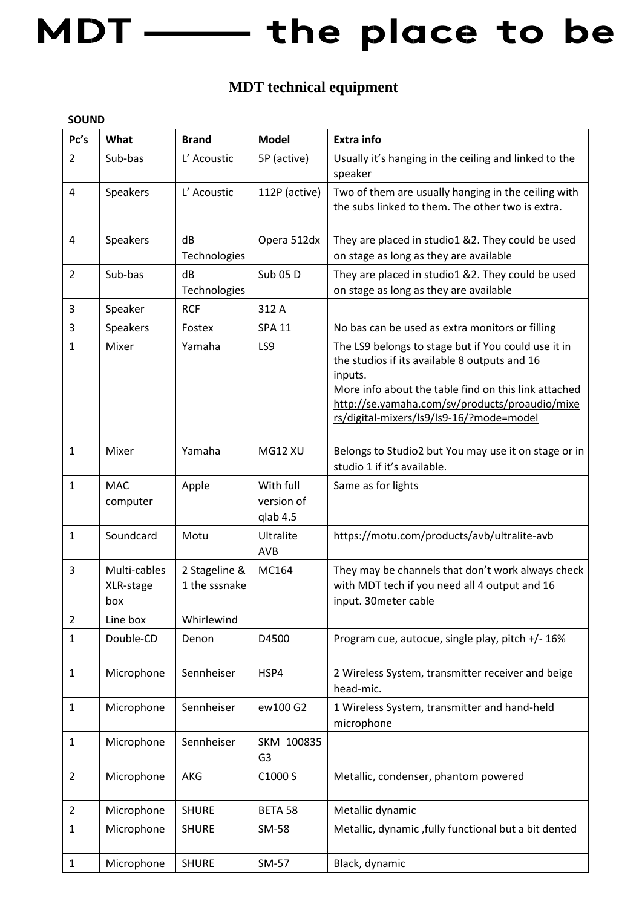## MDT - the place to be

### **MDT technical equipment**

#### **SOUND**

| Pc's           | What                             | <b>Brand</b>                   | <b>Model</b>                        | <b>Extra info</b>                                                                                                                                                                                                                                                     |
|----------------|----------------------------------|--------------------------------|-------------------------------------|-----------------------------------------------------------------------------------------------------------------------------------------------------------------------------------------------------------------------------------------------------------------------|
| $\overline{2}$ | Sub-bas                          | L' Acoustic                    | 5P (active)                         | Usually it's hanging in the ceiling and linked to the<br>speaker                                                                                                                                                                                                      |
| 4              | Speakers                         | L' Acoustic                    | 112P (active)                       | Two of them are usually hanging in the ceiling with<br>the subs linked to them. The other two is extra.                                                                                                                                                               |
| $\overline{4}$ | Speakers                         | dB<br>Technologies             | Opera 512dx                         | They are placed in studio1 &2. They could be used<br>on stage as long as they are available                                                                                                                                                                           |
| $\overline{2}$ | Sub-bas                          | dB<br>Technologies             | Sub 05 D                            | They are placed in studio1 &2. They could be used<br>on stage as long as they are available                                                                                                                                                                           |
| 3              | Speaker                          | <b>RCF</b>                     | 312 A                               |                                                                                                                                                                                                                                                                       |
| 3              | Speakers                         | Fostex                         | <b>SPA 11</b>                       | No bas can be used as extra monitors or filling                                                                                                                                                                                                                       |
| 1              | Mixer                            | Yamaha                         | LS9                                 | The LS9 belongs to stage but if You could use it in<br>the studios if its available 8 outputs and 16<br>inputs.<br>More info about the table find on this link attached<br>http://se.yamaha.com/sv/products/proaudio/mixe<br>rs/digital-mixers/ls9/ls9-16/?mode=model |
| $\mathbf{1}$   | Mixer                            | Yamaha                         | <b>MG12 XU</b>                      | Belongs to Studio2 but You may use it on stage or in<br>studio 1 if it's available.                                                                                                                                                                                   |
| $\mathbf{1}$   | <b>MAC</b><br>computer           | Apple                          | With full<br>version of<br>qlab 4.5 | Same as for lights                                                                                                                                                                                                                                                    |
| $\mathbf{1}$   | Soundcard                        | Motu                           | Ultralite<br><b>AVB</b>             | https://motu.com/products/avb/ultralite-avb                                                                                                                                                                                                                           |
| 3              | Multi-cables<br>XLR-stage<br>box | 2 Stageline &<br>1 the sssnake | MC164                               | They may be channels that don't work always check<br>with MDT tech if you need all 4 output and 16<br>input. 30meter cable                                                                                                                                            |
| $\overline{2}$ | Line box                         | Whirlewind                     |                                     |                                                                                                                                                                                                                                                                       |
| $\mathbf{1}$   | Double-CD                        | Denon                          | D4500                               | Program cue, autocue, single play, pitch +/- 16%                                                                                                                                                                                                                      |
| $\mathbf{1}$   | Microphone                       | Sennheiser                     | HSP4                                | 2 Wireless System, transmitter receiver and beige<br>head-mic.                                                                                                                                                                                                        |
| $\mathbf{1}$   | Microphone                       | Sennheiser                     | ew100 G2                            | 1 Wireless System, transmitter and hand-held<br>microphone                                                                                                                                                                                                            |
| $\mathbf{1}$   | Microphone                       | Sennheiser                     | SKM 100835<br>G <sub>3</sub>        |                                                                                                                                                                                                                                                                       |
| $\overline{2}$ | Microphone                       | AKG                            | C1000 S                             | Metallic, condenser, phantom powered                                                                                                                                                                                                                                  |
| $\overline{2}$ | Microphone                       | <b>SHURE</b>                   | BETA 58                             | Metallic dynamic                                                                                                                                                                                                                                                      |
| $\mathbf{1}$   | Microphone                       | <b>SHURE</b>                   | SM-58                               | Metallic, dynamic, fully functional but a bit dented                                                                                                                                                                                                                  |
| $\mathbf{1}$   | Microphone                       | <b>SHURE</b>                   | SM-57                               | Black, dynamic                                                                                                                                                                                                                                                        |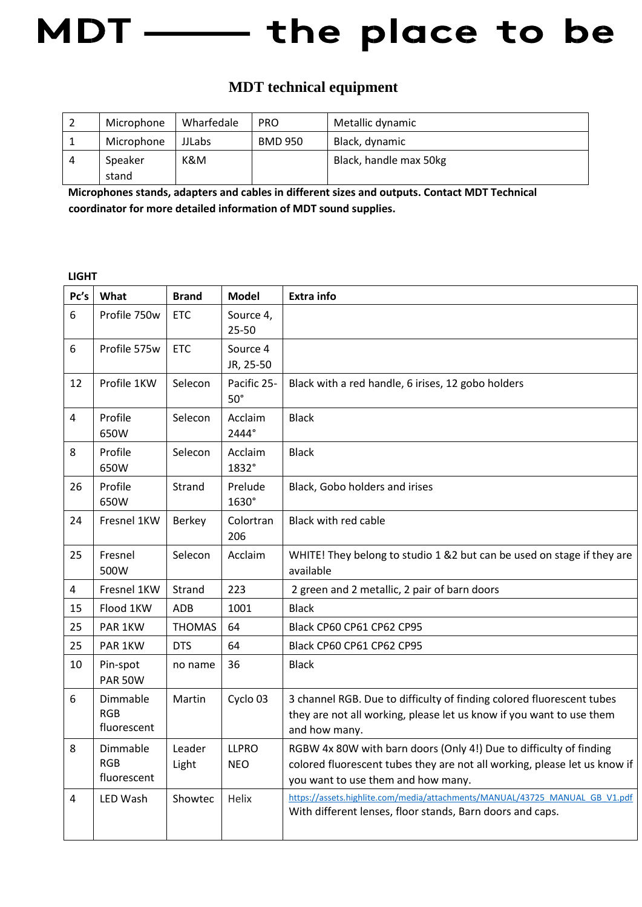### MDT -- the place to be

#### **MDT technical equipment**

|   | Microphone | Wharfedale    | <b>PRO</b>     | Metallic dynamic       |
|---|------------|---------------|----------------|------------------------|
|   | Microphone | <b>JJLabs</b> | <b>BMD 950</b> | Black, dynamic         |
| 4 | Speaker    | K&M           |                | Black, handle max 50kg |
|   | stand      |               |                |                        |

**Microphones stands, adapters and cables in different sizes and outputs. Contact MDT Technical coordinator for more detailed information of MDT sound supplies.** 

**LIGHT** 

| Pc's | What                                  | <b>Brand</b>    | <b>Model</b>               | <b>Extra info</b>                                                                                                                                                                     |
|------|---------------------------------------|-----------------|----------------------------|---------------------------------------------------------------------------------------------------------------------------------------------------------------------------------------|
| 6    | Profile 750w                          | <b>ETC</b>      | Source 4,<br>25-50         |                                                                                                                                                                                       |
| 6    | Profile 575w                          | <b>ETC</b>      | Source 4<br>JR, 25-50      |                                                                                                                                                                                       |
| 12   | Profile 1KW                           | Selecon         | Pacific 25-<br>$50^\circ$  | Black with a red handle, 6 irises, 12 gobo holders                                                                                                                                    |
| 4    | Profile<br>650W                       | Selecon         | Acclaim<br>2444°           | <b>Black</b>                                                                                                                                                                          |
| 8    | Profile<br>650W                       | Selecon         | Acclaim<br>1832°           | <b>Black</b>                                                                                                                                                                          |
| 26   | Profile<br>650W                       | Strand          | Prelude<br>1630°           | Black, Gobo holders and irises                                                                                                                                                        |
| 24   | Fresnel 1KW                           | Berkey          | Colortran<br>206           | Black with red cable                                                                                                                                                                  |
| 25   | Fresnel<br>500W                       | Selecon         | Acclaim                    | WHITE! They belong to studio 1 &2 but can be used on stage if they are<br>available                                                                                                   |
| 4    | Fresnel 1KW                           | Strand          | 223                        | 2 green and 2 metallic, 2 pair of barn doors                                                                                                                                          |
| 15   | Flood 1KW                             | <b>ADB</b>      | 1001                       | <b>Black</b>                                                                                                                                                                          |
| 25   | PAR 1KW                               | <b>THOMAS</b>   | 64                         | Black CP60 CP61 CP62 CP95                                                                                                                                                             |
| 25   | PAR 1KW                               | <b>DTS</b>      | 64                         | Black CP60 CP61 CP62 CP95                                                                                                                                                             |
| 10   | Pin-spot<br><b>PAR 50W</b>            | no name         | 36                         | <b>Black</b>                                                                                                                                                                          |
| 6    | Dimmable<br><b>RGB</b><br>fluorescent | Martin          | Cyclo 03                   | 3 channel RGB. Due to difficulty of finding colored fluorescent tubes<br>they are not all working, please let us know if you want to use them<br>and how many.                        |
| 8    | Dimmable<br><b>RGB</b><br>fluorescent | Leader<br>Light | <b>LLPRO</b><br><b>NEO</b> | RGBW 4x 80W with barn doors (Only 4!) Due to difficulty of finding<br>colored fluorescent tubes they are not all working, please let us know if<br>you want to use them and how many. |
| 4    | LED Wash                              | Showtec         | Helix                      | https://assets.highlite.com/media/attachments/MANUAL/43725 MANUAL GB V1.pdf<br>With different lenses, floor stands, Barn doors and caps.                                              |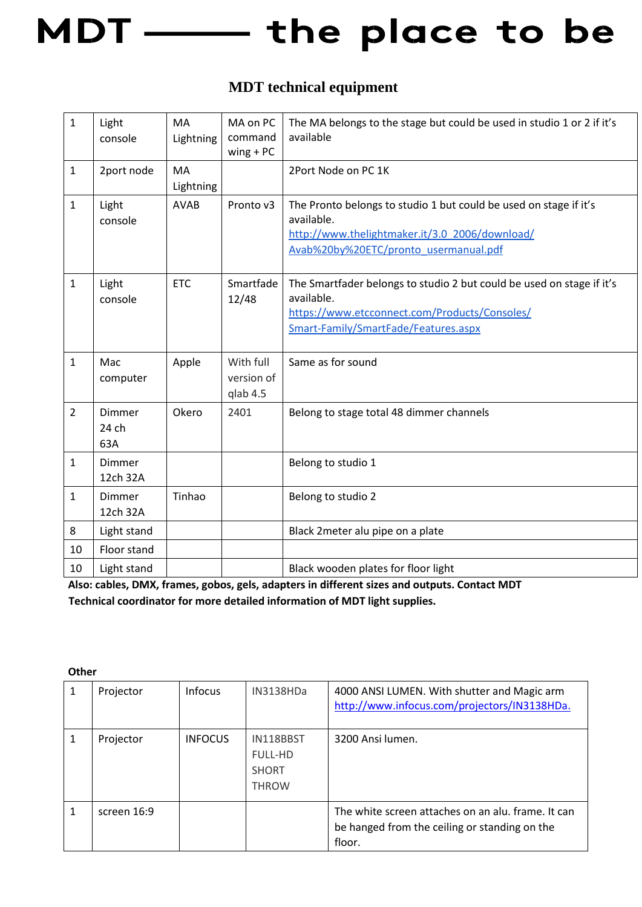# MDT - the place to be

#### **MDT technical equipment**

| $\mathbf{1}$   | Light<br>console              | <b>MA</b><br>Lightning | MA on PC<br>command<br>$wing + PC$  | The MA belongs to the stage but could be used in studio 1 or 2 if it's<br>available                                                                                          |
|----------------|-------------------------------|------------------------|-------------------------------------|------------------------------------------------------------------------------------------------------------------------------------------------------------------------------|
| $\mathbf{1}$   | 2port node                    | MA<br>Lightning        |                                     | 2Port Node on PC 1K                                                                                                                                                          |
| $\mathbf{1}$   | Light<br>console              | <b>AVAB</b>            | Pronto v3                           | The Pronto belongs to studio 1 but could be used on stage if it's<br>available.<br>http://www.thelightmaker.it/3.0 2006/download/<br>Avab%20by%20ETC/pronto_usermanual.pdf   |
| $\mathbf{1}$   | Light<br>console              | <b>ETC</b>             | Smartfade<br>12/48                  | The Smartfader belongs to studio 2 but could be used on stage if it's<br>available.<br>https://www.etcconnect.com/Products/Consoles/<br>Smart-Family/SmartFade/Features.aspx |
| $\mathbf{1}$   | Mac<br>computer               | Apple                  | With full<br>version of<br>qlab 4.5 | Same as for sound                                                                                                                                                            |
| $\overline{2}$ | <b>Dimmer</b><br>24 ch<br>63A | Okero                  | 2401                                | Belong to stage total 48 dimmer channels                                                                                                                                     |
| $\mathbf{1}$   | Dimmer<br>12ch 32A            |                        |                                     | Belong to studio 1                                                                                                                                                           |
| $\mathbf{1}$   | <b>Dimmer</b><br>12ch 32A     | Tinhao                 |                                     | Belong to studio 2                                                                                                                                                           |
| 8              | Light stand                   |                        |                                     | Black 2meter alu pipe on a plate                                                                                                                                             |
| 10             | Floor stand                   |                        |                                     |                                                                                                                                                                              |
| 10             | Light stand                   |                        |                                     | Black wooden plates for floor light                                                                                                                                          |

**Also: cables, DMX, frames, gobos, gels, adapters in different sizes and outputs. Contact MDT Technical coordinator for more detailed information of MDT light supplies.** 

| Projector   | <b>Infocus</b> | IN3138HDa                                                   | 4000 ANSI LUMEN. With shutter and Magic arm<br>http://www.infocus.com/projectors/IN3138HDa.                   |
|-------------|----------------|-------------------------------------------------------------|---------------------------------------------------------------------------------------------------------------|
| Projector   | <b>INFOCUS</b> | IN118BBST<br><b>FULL-HD</b><br><b>SHORT</b><br><b>THROW</b> | 3200 Ansi lumen.                                                                                              |
| screen 16:9 |                |                                                             | The white screen attaches on an alu, frame, It can<br>be hanged from the ceiling or standing on the<br>floor. |

**Other**